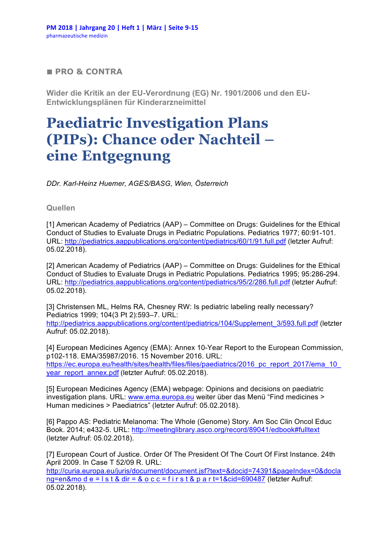## **■ PRO & CONTRA**

**Wider die Kritik an der EU-Verordnung (EG) Nr. 1901/2006 und den EU-Entwicklungsplänen für Kinderarzneimittel**

## **Paediatric Investigation Plans (PIPs): Chance oder Nachteil – eine Entgegnung**

*DDr. Karl-Heinz Huemer, AGES/BASG, Wien, Österreich*

**Quellen**

[1] American Academy of Pediatrics (AAP) – Committee on Drugs: Guidelines for the Ethical Conduct of Studies to Evaluate Drugs in Pediatric Populations. Pediatrics 1977; 60:91-101. URL: http://pediatrics.aappublications.org/content/pediatrics/60/1/91.full.pdf (letzter Aufruf: 05.02.2018).

[2] American Academy of Pediatrics (AAP) – Committee on Drugs: Guidelines for the Ethical Conduct of Studies to Evaluate Drugs in Pediatric Populations. Pediatrics 1995; 95:286-294. URL: http://pediatrics.aappublications.org/content/pediatrics/95/2/286.full.pdf (letzter Aufruf: 05.02.2018).

[3] Christensen ML, Helms RA, Chesney RW: Is pediatric labeling really necessary? Pediatrics 1999; 104(3 Pt 2):593–7. URL:

http://pediatrics.aappublications.org/content/pediatrics/104/Supplement\_3/593.full.pdf (letzter Aufruf: 05.02.2018).

[4] European Medicines Agency (EMA): Annex 10-Year Report to the European Commission, p102-118. EMA/35987/2016. 15 November 2016. URL: https://ec.europa.eu/health/sites/health/files/files/paediatrics/2016\_pc\_report\_2017/ema\_10 year\_report\_annex.pdf (letzter Aufruf: 05.02.2018).

[5] European Medicines Agency (EMA) webpage: Opinions and decisions on paediatric investigation plans. URL: www.ema.europa.eu weiter über das Menü "Find medicines > Human medicines > Paediatrics" (letzter Aufruf: 05.02.2018).

[6] Pappo AS: Pediatric Melanoma: The Whole (Genome) Story. Am Soc Clin Oncol Educ Book. 2014; e432-5. URL: http://meetinglibrary.asco.org/record/89041/edbook#fulltext (letzter Aufruf: 05.02.2018).

[7] European Court of Justice. Order Of The President Of The Court Of First Instance. 24th April 2009. In Case T 52/09 R. URL:

http://curia.europa.eu/juris/document/document.jsf?text=&docid=74391&pageIndex=0&docla ng=en&mo d e =  $\vert$  s t & dir = & o c c = f i r s t & p a r t=1&cid=690487 (letzter Aufruf: 05.02.2018).